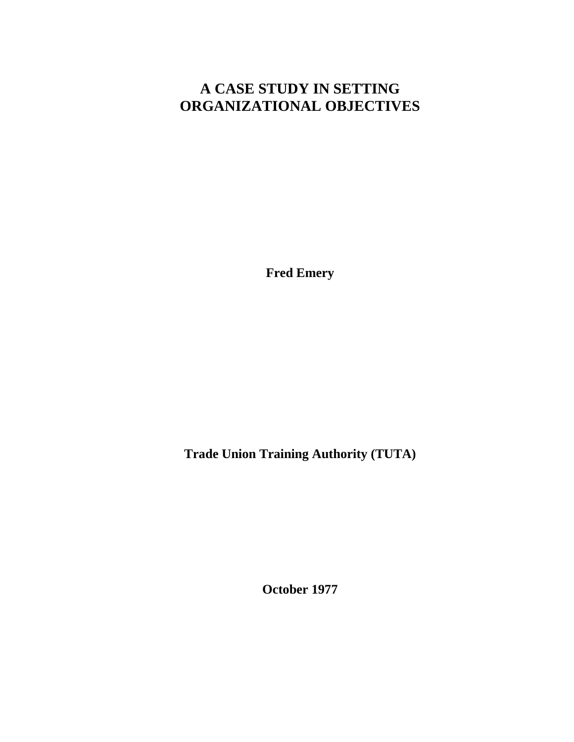## **A CASE STUDY IN SETTING ORGANIZATIONAL OBJECTIVES**

**Fred Emery**

**Trade Union Training Authority (TUTA)**

**October 1977**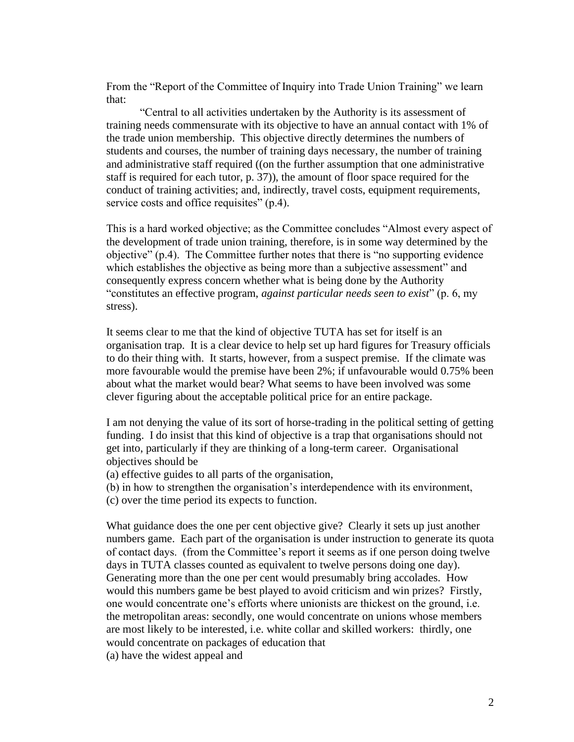From the "Report of the Committee of Inquiry into Trade Union Training" we learn that:

"Central to all activities undertaken by the Authority is its assessment of training needs commensurate with its objective to have an annual contact with 1% of the trade union membership. This objective directly determines the numbers of students and courses, the number of training days necessary, the number of training and administrative staff required ((on the further assumption that one administrative staff is required for each tutor, p. 37)), the amount of floor space required for the conduct of training activities; and, indirectly, travel costs, equipment requirements, service costs and office requisites" (p.4).

This is a hard worked objective; as the Committee concludes "Almost every aspect of the development of trade union training, therefore, is in some way determined by the objective" (p.4). The Committee further notes that there is "no supporting evidence which establishes the objective as being more than a subjective assessment" and consequently express concern whether what is being done by the Authority "constitutes an effective program, *against particular needs seen to exist*" (p. 6, my stress).

It seems clear to me that the kind of objective TUTA has set for itself is an organisation trap. It is a clear device to help set up hard figures for Treasury officials to do their thing with. It starts, however, from a suspect premise. If the climate was more favourable would the premise have been 2%; if unfavourable would 0.75% been about what the market would bear? What seems to have been involved was some clever figuring about the acceptable political price for an entire package.

I am not denying the value of its sort of horse-trading in the political setting of getting funding. I do insist that this kind of objective is a trap that organisations should not get into, particularly if they are thinking of a long-term career. Organisational objectives should be

(a) effective guides to all parts of the organisation,

(b) in how to strengthen the organisation's interdependence with its environment,

(c) over the time period its expects to function.

What guidance does the one per cent objective give? Clearly it sets up just another numbers game. Each part of the organisation is under instruction to generate its quota of contact days. (from the Committee's report it seems as if one person doing twelve days in TUTA classes counted as equivalent to twelve persons doing one day). Generating more than the one per cent would presumably bring accolades. How would this numbers game be best played to avoid criticism and win prizes? Firstly, one would concentrate one's efforts where unionists are thickest on the ground, i.e. the metropolitan areas: secondly, one would concentrate on unions whose members are most likely to be interested, i.e. white collar and skilled workers: thirdly, one would concentrate on packages of education that

(a) have the widest appeal and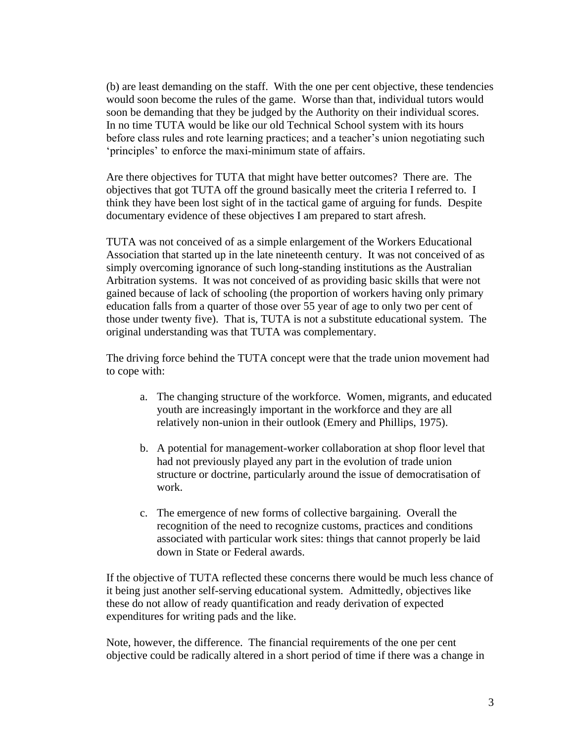(b) are least demanding on the staff. With the one per cent objective, these tendencies would soon become the rules of the game. Worse than that, individual tutors would soon be demanding that they be judged by the Authority on their individual scores. In no time TUTA would be like our old Technical School system with its hours before class rules and rote learning practices; and a teacher's union negotiating such 'principles' to enforce the maxi-minimum state of affairs.

Are there objectives for TUTA that might have better outcomes? There are. The objectives that got TUTA off the ground basically meet the criteria I referred to. I think they have been lost sight of in the tactical game of arguing for funds. Despite documentary evidence of these objectives I am prepared to start afresh.

TUTA was not conceived of as a simple enlargement of the Workers Educational Association that started up in the late nineteenth century. It was not conceived of as simply overcoming ignorance of such long-standing institutions as the Australian Arbitration systems. It was not conceived of as providing basic skills that were not gained because of lack of schooling (the proportion of workers having only primary education falls from a quarter of those over 55 year of age to only two per cent of those under twenty five). That is, TUTA is not a substitute educational system. The original understanding was that TUTA was complementary.

The driving force behind the TUTA concept were that the trade union movement had to cope with:

- a. The changing structure of the workforce. Women, migrants, and educated youth are increasingly important in the workforce and they are all relatively non-union in their outlook (Emery and Phillips, 1975).
- b. A potential for management-worker collaboration at shop floor level that had not previously played any part in the evolution of trade union structure or doctrine, particularly around the issue of democratisation of work.
- c. The emergence of new forms of collective bargaining. Overall the recognition of the need to recognize customs, practices and conditions associated with particular work sites: things that cannot properly be laid down in State or Federal awards.

If the objective of TUTA reflected these concerns there would be much less chance of it being just another self-serving educational system. Admittedly, objectives like these do not allow of ready quantification and ready derivation of expected expenditures for writing pads and the like.

Note, however, the difference. The financial requirements of the one per cent objective could be radically altered in a short period of time if there was a change in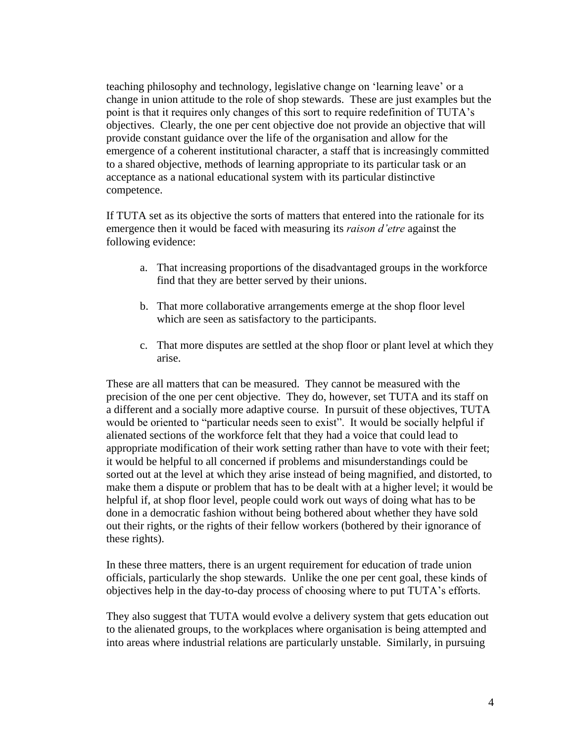teaching philosophy and technology, legislative change on 'learning leave' or a change in union attitude to the role of shop stewards. These are just examples but the point is that it requires only changes of this sort to require redefinition of TUTA's objectives. Clearly, the one per cent objective doe not provide an objective that will provide constant guidance over the life of the organisation and allow for the emergence of a coherent institutional character, a staff that is increasingly committed to a shared objective, methods of learning appropriate to its particular task or an acceptance as a national educational system with its particular distinctive competence.

If TUTA set as its objective the sorts of matters that entered into the rationale for its emergence then it would be faced with measuring its *raison d'etre* against the following evidence:

- a. That increasing proportions of the disadvantaged groups in the workforce find that they are better served by their unions.
- b. That more collaborative arrangements emerge at the shop floor level which are seen as satisfactory to the participants.
- c. That more disputes are settled at the shop floor or plant level at which they arise.

These are all matters that can be measured. They cannot be measured with the precision of the one per cent objective. They do, however, set TUTA and its staff on a different and a socially more adaptive course. In pursuit of these objectives, TUTA would be oriented to "particular needs seen to exist". It would be socially helpful if alienated sections of the workforce felt that they had a voice that could lead to appropriate modification of their work setting rather than have to vote with their feet; it would be helpful to all concerned if problems and misunderstandings could be sorted out at the level at which they arise instead of being magnified, and distorted, to make them a dispute or problem that has to be dealt with at a higher level; it would be helpful if, at shop floor level, people could work out ways of doing what has to be done in a democratic fashion without being bothered about whether they have sold out their rights, or the rights of their fellow workers (bothered by their ignorance of these rights).

In these three matters, there is an urgent requirement for education of trade union officials, particularly the shop stewards. Unlike the one per cent goal, these kinds of objectives help in the day-to-day process of choosing where to put TUTA's efforts.

They also suggest that TUTA would evolve a delivery system that gets education out to the alienated groups, to the workplaces where organisation is being attempted and into areas where industrial relations are particularly unstable. Similarly, in pursuing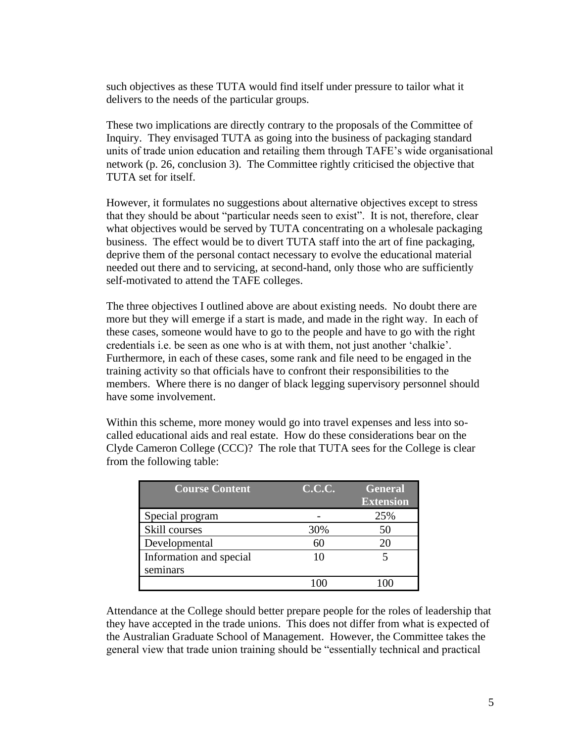such objectives as these TUTA would find itself under pressure to tailor what it delivers to the needs of the particular groups.

These two implications are directly contrary to the proposals of the Committee of Inquiry. They envisaged TUTA as going into the business of packaging standard units of trade union education and retailing them through TAFE's wide organisational network (p. 26, conclusion 3). The Committee rightly criticised the objective that TUTA set for itself.

However, it formulates no suggestions about alternative objectives except to stress that they should be about "particular needs seen to exist". It is not, therefore, clear what objectives would be served by TUTA concentrating on a wholesale packaging business. The effect would be to divert TUTA staff into the art of fine packaging, deprive them of the personal contact necessary to evolve the educational material needed out there and to servicing, at second-hand, only those who are sufficiently self-motivated to attend the TAFE colleges.

The three objectives I outlined above are about existing needs. No doubt there are more but they will emerge if a start is made, and made in the right way. In each of these cases, someone would have to go to the people and have to go with the right credentials i.e. be seen as one who is at with them, not just another 'chalkie'. Furthermore, in each of these cases, some rank and file need to be engaged in the training activity so that officials have to confront their responsibilities to the members. Where there is no danger of black legging supervisory personnel should have some involvement.

Within this scheme, more money would go into travel expenses and less into socalled educational aids and real estate. How do these considerations bear on the Clyde Cameron College (CCC)? The role that TUTA sees for the College is clear from the following table:

| <b>Course Content</b>   | <b>C.C.C.</b> | <b>General</b><br><b>Extension</b> |
|-------------------------|---------------|------------------------------------|
| Special program         |               | 25%                                |
| Skill courses           | 30%           | 50                                 |
| Developmental           |               | 20                                 |
| Information and special | 10            |                                    |
| seminars                |               |                                    |
|                         |               |                                    |

Attendance at the College should better prepare people for the roles of leadership that they have accepted in the trade unions. This does not differ from what is expected of the Australian Graduate School of Management. However, the Committee takes the general view that trade union training should be "essentially technical and practical